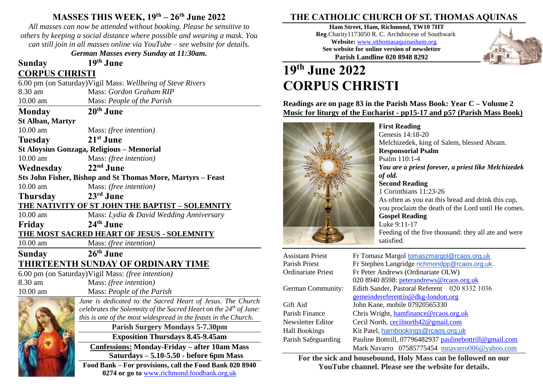### **MASSES THIS WEEK, 19 th – 26th June 2022**

*All masses can now be attended without booking. Please be sensitive to others by keeping a social distance where possible and wearing a mask. You can still join in all masses online via YouTube – see website for details.*

*German Masses every Sunday at 11:30am.*

**Sunday 19th June**

## **CORPUS CHRISTI**

6.00 pm (on Saturday)Vigil Mass: *Wellbeing of Steve Rivers* 8.30 am Mass: *Gordon Graham RIP* 10.00 am Mass: *People of the Parish* **Monday 20th June St Alban, Martyr** 10.00 am Mass: *(free intention)* **Tuesday 21st June St Aloysius Gonzaga, Religious – Memorial** 10.00 am Mass: *(free intention)* **Wednesday 22nd June Sts John Fisher, Bishop and St Thomas More, Martyrs – Feast** 10.00 am Mass: *(free intention)* **Thursday 23rd June THE NATIVITY OF ST JOHN THE BAPTIST – SOLEMNITY** 10.00 am Mass: *Lydia & David Wedding Anniversary*  **Friday 24th June THE MOST SACRED HEART OF JESUS - SOLEMNITY**  10.00 am Mass: *(free intention)* **Sunday 26th June THIRTEENTH SUNDAY OF ORDINARY TIME** 6.00 pm (on Saturday)Vigil Mass: *(free intention)* 8.30 am Mass: *(free intention)* 10.00 am Mass: *People of the Parish June is dedicated to the Sacred Heart of Jesus. The Church celebrates the Solemnity of the Sacred Heart on the 24th of June: this is one of the most widespread in the feasts in the Church.* **Parish Surgery Mondays 5-7.30pm Exposition Thursdays 8.45-9.45am**

**Confessions: Monday-Friday – after 10am Mass Saturdays – 5.10-5.50 - before 6pm Mass Food Bank – For provisions, call the Food Bank 020 8940 0274 or go to** [www.richmond.foodbank.org.uk](http://www.richmond.foodbank.org.uk/)

## **THE CATHOLIC CHURCH OF ST. THOMAS AQUINAS**

**Ham Street, Ham, Richmond, TW10 7HT Reg**.Charity1173050 R. C. Archdiocese of Southwark **Website:** [www.stthomasaquinasham.org](http://www.stthomasaquinasham.org/) **See website for online version of newsletter Parish Landline 020 8948 8292**



# **19 th June 2022 CORPUS CHRISTI**

**Readings are on page 83 in the Parish Mass Book: Year C – Volume 2 Music for liturgy of the Eucharist - pp15-17 and p57 (Parish Mass Book)**



**First Reading** Genesis 14:18-20 Melchizedek, king of Salem, blessed Abram. **Responsorial Psalm** Psalm 110:1-4 *You are a priest forever, a priest like Melchizedek of old.* **Second Reading** 1 Corinthians 11:23-26 As often as you eat this bread and drink this cup, you proclaim the death of the Lord until He comes. **Gospel Reading** Luke 9:11-17 Feeding of the five thousand: they all ate and were satisfied.

| Fr Tomasz Margol tomaszmargol@rcaos.org.uk              |
|---------------------------------------------------------|
| Fr Stephen Langridge richmondpp@rcaos.org.uk.           |
| Fr Peter Andrews (Ordinariate OLW)                      |
| 020 8940 8598: peterandrews@rcaos.org.uk                |
| Edith Sander, Pastoral Referent 020 8332 1036           |
| gemeindereferentin@dkg-london.org                       |
| John Kane, mobile 07920565330                           |
| Chris Wright, hamfinance@rcaos.org.uk                   |
| Cecil North, cecilnorth42@gmail.com                     |
| Kit Patel, hambookings@rcaos.org.uk                     |
| Pauline Bottrill, 07796482937 paulinebottrill@gmail.com |
| Mark Navarro 07585775454 mnavarro006@yahoo.com          |
|                                                         |

**For the sick and housebound, Holy Mass can be followed on our YouTube channel. Please see the website for details.**